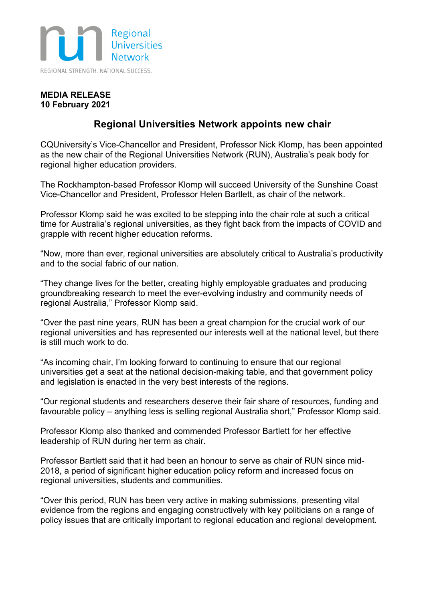

## **MEDIA RELEASE 10 February 2021**

## **Regional Universities Network appoints new chair**

CQUniversity's Vice-Chancellor and President, Professor Nick Klomp, has been appointed as the new chair of the Regional Universities Network (RUN), Australia's peak body for regional higher education providers.

The Rockhampton-based Professor Klomp will succeed University of the Sunshine Coast Vice-Chancellor and President, Professor Helen Bartlett, as chair of the network.

Professor Klomp said he was excited to be stepping into the chair role at such a critical time for Australia's regional universities, as they fight back from the impacts of COVID and grapple with recent higher education reforms.

"Now, more than ever, regional universities are absolutely critical to Australia's productivity and to the social fabric of our nation.

"They change lives for the better, creating highly employable graduates and producing groundbreaking research to meet the ever-evolving industry and community needs of regional Australia," Professor Klomp said.

"Over the past nine years, RUN has been a great champion for the crucial work of our regional universities and has represented our interests well at the national level, but there is still much work to do.

"As incoming chair, I'm looking forward to continuing to ensure that our regional universities get a seat at the national decision-making table, and that government policy and legislation is enacted in the very best interests of the regions.

"Our regional students and researchers deserve their fair share of resources, funding and favourable policy – anything less is selling regional Australia short," Professor Klomp said.

Professor Klomp also thanked and commended Professor Bartlett for her effective leadership of RUN during her term as chair.

Professor Bartlett said that it had been an honour to serve as chair of RUN since mid-2018, a period of significant higher education policy reform and increased focus on regional universities, students and communities.

"Over this period, RUN has been very active in making submissions, presenting vital evidence from the regions and engaging constructively with key politicians on a range of policy issues that are critically important to regional education and regional development.